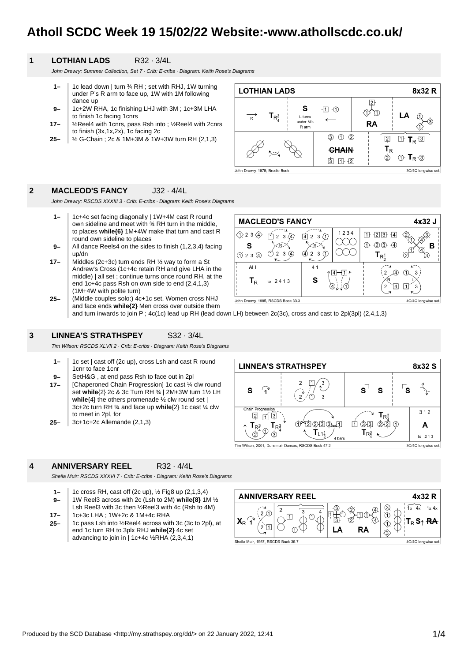# **Atholl SCDC Week 19 15/02/22 Website:-www.athollscdc.co.uk/**

### **1 LOTHIAN LADS** R32 · 3/4L

John Drewry: Summer Collection, Set 7 · Crib: E-cribs · Diagram: Keith Rose's Diagrams

- **1–** 1c lead down | turn ¾ RH ; set with RHJ, 1W turning under P's R arm to face up, 1W with 1M following dance up
- **9–** 1c+2W RHA, 1c finishing LHJ with 3M ; 1c+3M LHA to finish 1c facing 1cnrs
- **17–** ½Reel4 with 1cnrs, pass Rsh into ; ½Reel4 with 2cnrs to finish (3x,1x,2x), 1c facing 2c
- **25–** ½ G-Chain ; 2c & 1M+3M & 1W+3W turn RH (2,1,3)



### **2 MACLEOD'S FANCY** J32 · 4/4L

John Drewry: RSCDS XXXIII 3 · Crib: E-cribs · Diagram: Keith Rose's Diagrams

- **1–** 1c+4c set facing diagonally | 1W+4M cast R round own sideline and meet with ¾ RH turn in the middle, to places **while{6}** 1M+4W make that turn and cast R round own sideline to places
- **9–** All dance Reels4 on the sides to finish (1,2,3,4) facing up/dn
- **25– 17–** Middles (2c+3c) turn ends RH ½ way to form a St Andrew's Cross (1c+4c retain RH and give LHA in the middle) | all set ; continue turns once round RH, at the end 1c+4c pass Rsh on own side to end (2,4,1,3) (1M+4W with polite turn)
	- (Middle couples solo:) 4c+1c set, Women cross NHJ John Drewry, 1985, RSCDS Book 33.3 4C/4C longwise set. and face ends **while{2}** Men cross over outside them and turn inwards to join P ; 4c(1c) lead up RH (lead down LH) between 2c(3c), cross and cast to 2pl(3pl) (2,4,1,3)

### **3 LINNEA'S STRATHSPEY** S32 · 3/4L

Tim Wilson: RSCDS XLVII 2 · Crib: E-cribs · Diagram: Keith Rose's Diagrams

- **1–** 1c set | cast off (2c up), cross Lsh and cast R round 1cnr to face 1cnr
- **9–** SetH&G , at end pass Rsh to face out in 2pl
- **17–** [Chaperoned Chain Progression] 1c cast ¼ clw round set **while**{2} 2c & 3c Turn RH ¾ | 2M+3W turn 1½ LH while<sup>{4}</sup> the others promenade ½ clw round set | 3c+2c turn RH ¾ and face up **while**{2} 1c cast ¼ clw to meet in 2pl, for
- **25–** 3c+1c+2c Allemande (2,1,3)



#### **4 ANNIVERSARY REEL** R32 · 4/4L

Sheila Muir: RSCDS XXXVI 7 · Crib: E-cribs · Diagram: Keith Rose's Diagrams

- **1–** 1c cross RH, cast off (2c up), ½ Fig8 up (2,1,3,4)
- **9–** 1W Reel3 across with 2c (Lsh to 2M) **while{8}** 1M ½ Lsh Reel3 with 3c then ½Reel3 with 4c (Rsh to 4M)
- **17–** 1c+3c LHA ; 1W+2c & 1M+4c RHA
- **25–** 1c pass Lsh into ½Reel4 across with 3c (3c to 2pl), at end 1c turn RH to 3plx RHJ **while{2}** 4c set advancing to join in | 1c+4c  $\frac{1}{2}$ RHA (2,3,4,1)



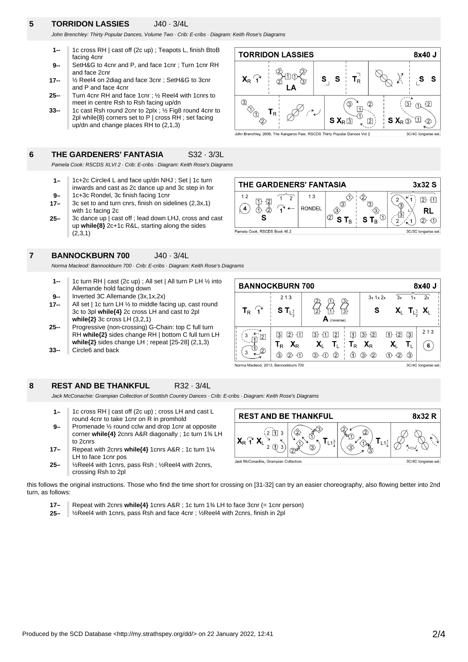# **5 TORRIDON LASSIES** J40 · 3/4L

John Brenchley: Thirty Popular Dances, Volume Two · Crib: E-cribs · Diagram: Keith Rose's Diagrams

- **1--** 1c cross RH | cast off (2c up) ; Teapots L, finish BtoB facing 4cnr
- **9--** SetH&G to 4cnr and P, and face 1cnr ; Turn 1cnr RH and face 2cnr
- **17--** ½ Reel4 on 2diag and face 3cnr ; SetH&G to 3cnr and P and face 4cnr
- **25--** Turn 4cnr RH and face 1cnr ; ½ Reel4 with 1cnrs to meet in centre Rsh to Rsh facing up/dn
- **33--** 1c cast Rsh round 2cnr to 2plx ; ½ Fig8 round 4cnr to 2pl while{8} corners set to P | cross RH ; set facing up/dn and change places RH to (2,1,3)

### **6 THE GARDENERS' FANTASIA** S32 · 3/3L

Pamela Cook: RSCDS XLVI 2 · Crib: E-cribs · Diagram: Keith Rose's Diagrams

- **1–** 1c+2c Circle4 L and face up/dn NHJ ; Set | 1c turn inwards and cast as 2c dance up and 3c step in for
- **9–** 1c+3c Rondel, 3c finish facing 1cnr
- **17–** 3c set to and turn cnrs, finish on sidelines (2,3x,1) with 1c facing 2c
- **25–** 3c dance up | cast off ; lead down LHJ, cross and cast up **while{8}** 2c+1c R&L, starting along the sides (2,3,1)

### **7 BANNOCKBURN 700** J40 · 3/4L

Norma Macleod: Bannockburn 700 · Crib: E-cribs · Diagram: Keith Rose's Diagrams

- **9-- 1--** 1c turn RH | cast (2c up) ; All set | All turn P LH ½ into Allemande hold facing down Inverted 3C Allemande (3x,1x,2x)
- **17--**
- All set | 1c turn LH ½ to middle facing up, cast round 3c to 3pl **while{4}** 2c cross LH and cast to 2pl **while{2}** 3c cross LH (3,2,1)
- **33-- 25--** Progressive (non-crossing) G-Chain: top C full turn RH **while{2}** sides change RH | bottom C full turn LH **while{2}** sides change LH ; repeat [25-28] (2,1,3)
- Circle6 and back

### **8 REST AND BE THANKFUL** R32 · 3/4L

Jack McConachie: Grampian Collection of Scottish Country Dances · Crib: E-cribs · Diagram: Keith Rose's Diagrams

- **9– 1–** 1c cross RH | cast off (2c up) ; cross LH and cast L round 4cnr to take 1cnr on R in promhold Promenade ½ round cclw and drop 1cnr at opposite corner **while{4}** 2cnrs A&R diagonally ; 1c turn 1¾ LH to 2cnrs
- **17–** Repeat with 2cnrs **while{4}** 1cnrs A&R ; 1c turn 1¼ LH to face 1cnr pos
- **25–** ½Reel4 with 1cnrs, pass Rsh ; ½Reel4 with 2cnrs, crossing Rsh to 2pl



this follows the original instructions. Those who find the time short for crossing on [31-32] can try an easier choreography, also flowing better into 2nd turn, as follows:

- **17–** Repeat with 2cnrs **while{4}** 1cnrs A&R ; 1c turn 1¾ LH to face 3cnr (= 1cnr person)
- **25–** ½Reel4 with 1cnrs, pass Rsh and face 4cnr ; ½Reel4 with 2cnrs, finish in 2pl





 $A$  (rev

 $T_{\rm L}$ 

 $3 - 11$  2

 $@{+}@@{+}$ 

 $\mathbf{X}_{\mathsf{L}}$ 



**BANNOCKBURN 700** 

 $\mathsf{T}_\mathsf{R}$  $\mathbf{r}$ 

3

 $\frac{1}{\sqrt{1}}$ 2

Norma Macleod, 2013, Bannockburn 700

 $213$ 

S  $T_{L_2^1}$ 

 $32 + 11$ 

 $T_R$   $X_R$ 

 $(3)$  (2 + 1)

8x40 J

 $\overline{2x}$  $\overline{1}$ 

 $213$ 

 $(6)$ 

3C/4C longwise set.

 $T_{L_2^1}$   $X_L$ 

 $3x$  1x  $2x$ 

S

 $13 + 2$ 

 $\Phi$   $\Phi$   $\Phi$ 

 $X_{R}$ 

 $T_R$ 

 $\overline{\mathcal{R}}$ 

X,

 $T$  +  $T$  $\sqrt{3}$ 

> $\mathbf{X}_{\mathsf{L}}$ T,

 $(1) - (2)$  $\circled{3}$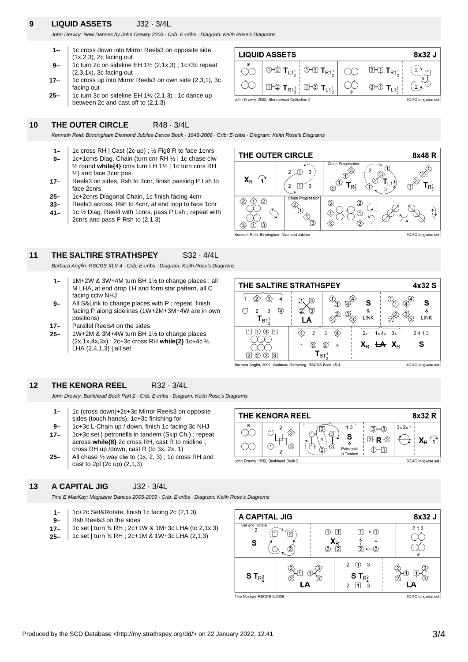# **9 LIQUID ASSETS** J32 · 3/4L

John Drewry: New Dances by John Drewry 2003 · Crib: E-cribs · Diagram: Keith Rose's Diagrams

- **1--** 1c cross down into Mirror Reels3 on opposite side (1x,2,3), 2c facing out
- **9--** 1c turn 2c on sideline EH 1½ (2,1x,3) ; 1c+3c repeat (2,3,1x), 3c facing out
- **25-- 17--** 1c cross up into Mirror Reels3 on own side (2,3,1), 3c facing out
- 1c turn 3c on sideline EH 1½ (2,1,3) ; 1c dance up between 2c and cast off to (2,1,3)

### **10 THE OUTER CIRCLE** R48 · 3/4L

Kenneth Reid: Birmingham Diamond Jubilee Dance Book - 1946-2006 · Crib: E-cribs · Diagram: Keith Rose's Diagrams

- **9– 1–** 1c cross RH | Cast (2c up) ; ½ Fig8 R to face 1cnrs 1c+1cnrs Diag. Chain (turn cnr RH ½ | 1c chase clw ½ round **while{4}** cnrs turn LH 1½ | 1c turn cnrs RH ½) and face 3cnr pos.
- **17–** Reels3 on sides, Rsh to 3cnr, finish passing P Lsh to face 2cnrs
- **25–** 1c+2cnrs Diagonal Chain, 1c finish facing 4cnr
- **33–** Reels3 across, Rsh to 4cnr, at end loop to face 1cnr
- **41–** 1c ½ Diag. Reel4 with 1cnrs, pass P Lsh ; repeat with 2cnrs and pass P Rsh to (2,1,3)



8x32 J

 $\overline{11}$ 

À

3C/4C longwise set.

Kenneth Reid, Birmingham Diamond Jubilee

 $\langle \Im \rangle$  $\circled{1}$  $\sqrt{3}$ 

**LIQUID ASSETS** 

#### **11 THE SALTIRE STRATHSPEY** S32 · 4/4L

Barbara Anglin: RSCDS XLV 4 · Crib: E-cribs · Diagram: Keith Rose's Diagrams

- **1–** 1M+2W & 3W+4M turn BH 1½ to change places ; all M LHA, at end drop LH and form star pattern, all C facing cclw NHJ
- **9–** All S&Link to change places with P ; repeat, finish facing P along sidelines (1W+2M+3M+4W are in own positions)
- **17–** Parallel Reels4 on the sides
- **25–** 1W+2M & 3M+4W turn BH 1½ to change places (2x,1x,4x,3x) ; 2c+3c cross RH **while{2}** 1c+4c ½  $LHA$   $(2,4,1,3)$  all set

| THE SALTIRE STRATHSPEY                                    |                     |               |                 |                              | 4x32 S                 |
|-----------------------------------------------------------|---------------------|---------------|-----------------|------------------------------|------------------------|
| 4<br>D<br>3<br>(4)<br>2<br>$T_{B1\frac{1}{2}}$            | $\mathcal{A}$<br>3) |               | S<br>31<br>LINK |                              | &<br>35<br><b>LINK</b> |
| 4<br>(4)                                                  | 2                   | 3<br>4        | 2x              | $1 \times 4 \times 3 \times$ | 2413                   |
| 3<br>3)<br>2                                              | $^{72}$             | 3<br>$I_{B1}$ |                 | $X_{R}$ + $X_{R}$            | S                      |
| Barbara Anglin, 2001, Gatineau Gathering, RSCDS Book 45.4 |                     |               |                 |                              | $4C/4C$ , Iongwise set |

#### **12 THE KENORA REEL** R32 · 3/4L

John Drewry: Bankhead Book Part 2 · Crib: E-cribs · Diagram: Keith Rose's Diagrams

- **1–** 1c (cross down)+2c+3c Mirror Reels3 on opposite sides (touch hands), 1c+3c finishing for
- **17– 9–** 1c+3c L-Chain up / down, finish 1c facing 3c NHJ 1c+3c set | petronella in tandem (Skip Ch.) ; repeat across **while{8}** 2c cross RH, cast R to midline ; cross RH up /down, cast R (to 3x, 2x, 1)
- **25–** All chase  $\frac{1}{2}$  way clw to  $(1x, 2, 3)$ ; 1c cross RH and cast to 2pl (2c up) (2,1,3)

### **13 A CAPITAL JIG** J32 · 3/4L

Tine E MacKay: Magazine Dances 2005-2009 · Crib: E-cribs · Diagram: Keith Rose's Diagrams

- **1–** 1c+2c Set&Rotate, finish 1c facing 2c (2,1,3)
- **9–** Rsh Reels3 on the sides
- **17–** 1c set | turn ¾ RH ; 2c+1W & 1M+3c LHA (to 2,1x,3)
- **25–** 1c set | turn ¾ RH ; 2c+1M & 1W+3c LHA (2,1,3)





 $3 - 1$  T<sub>R1</sub>  $\circledcirc$   $\mathsf{T}_{\mathsf{L1}^{\mathsf{1}}}$  $\circlearrowleft$   $\mathsf{T}_{\mathsf{R1}^1_2}$ っゝ  $\infty$  $\infty$  $\mathbb{D} \otimes \mathbf{T}_{R1\frac{1}{2}}$  $\circled{0}$  T<sub>L1</sub>  $\Box$   $\Box$   $\mathsf{T}_{\mathsf{L1}^1}$  $2<sub>2</sub>$ 3C/4C longwise set. John Drewry, 2002, Stoneywood Collection 2